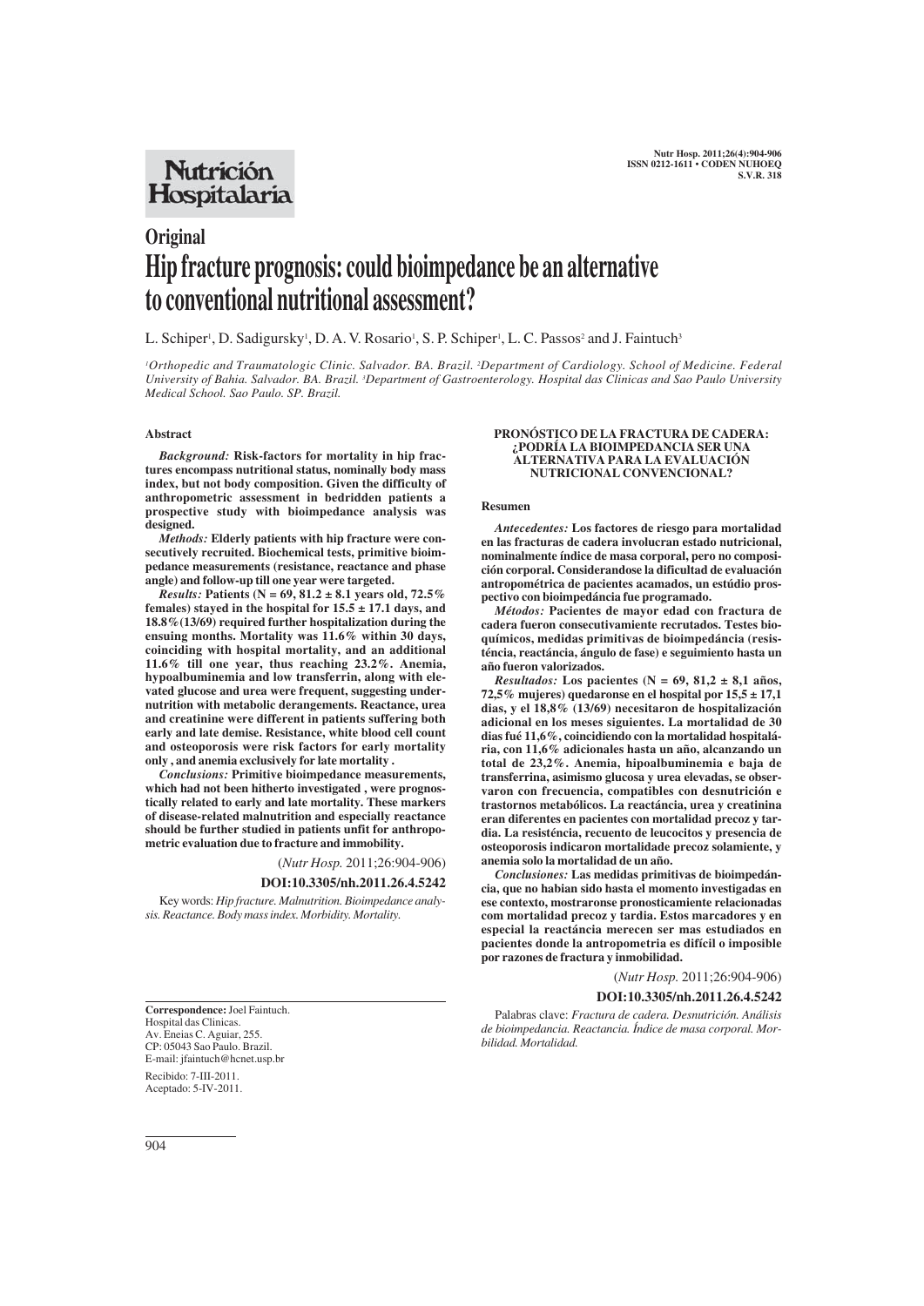## **Nutrición** Hospitalaria

# **Original Hip fracture prognosis: could bioimpedance be an alternative to conventional nutritional assessment?**

L. Schiper<sup>1</sup>, D. Sadigursky<sup>1</sup>, D. A. V. Rosario<sup>1</sup>, S. P. Schiper<sup>1</sup>, L. C. Passos<sup>2</sup> and J. Faintuch<sup>3</sup>

*1 Orthopedic and Traumatologic Clinic. Salvador. BA. Brazil. 2 Department of Cardiology. School of Medicine. Federal University of Bahia. Salvador. BA. Brazil. 3 Department of Gastroenterology. Hospital das Clinicas and Sao Paulo University Medical School. Sao Paulo. SP. Brazil.*

#### **Abstract**

*Background:* **Risk-factors for mortality in hip fractures encompass nutritional status, nominally body mass index, but not body composition. Given the difficulty of anthropometric assessment in bedridden patients a prospective study with bioimpedance analysis was designed.**

*Methods:* **Elderly patients with hip fracture were consecutively recruited. Biochemical tests, primitive bioimpedance measurements (resistance, reactance and phase angle) and follow-up till one year were targeted.**

*Results:* **Patients (N = 69, 81.2 ± 8.1 years old, 72.5% females) stayed in the hospital for 15.5 ± 17.1 days, and 18.8%(13/69) required further hospitalization during the ensuing months. Mortality was 11.6% within 30 days, coinciding with hospital mortality, and an additional 11.6% till one year, thus reaching 23.2%. Anemia, hypoalbuminemia and low transferrin, along with elevated glucose and urea were frequent, suggesting undernutrition with metabolic derangements. Reactance, urea and creatinine were different in patients suffering both early and late demise. Resistance, white blood cell count and osteoporosis were risk factors for early mortality only , and anemia exclusively for late mortality .**

*Conclusions:* **Primitive bioimpedance measurements, which had not been hitherto investigated , were prognostically related to early and late mortality. These markers of disease-related malnutrition and especially reactance should be further studied in patients unfit for anthropometric evaluation due to fracture and immobility.**

(*Nutr Hosp.* 2011;26:904-906)

#### **DOI:10.3305/nh.2011.26.4.5242**

Key words: *Hip fracture. Malnutrition. Bioimpedance analysis. Reactance. Body mass index. Morbidity. Mortality.*

**Correspondence:** Joel Faintuch. Hospital das Clinicas. Av. Eneias C. Aguiar, 255. CP: 05043 Sao Paulo. Brazil. E-mail: jfaintuch@hcnet.usp.br

Recibido: 7-III-2011. Aceptado: 5-IV-2011.

#### **PRONÓSTICO DE LA FRACTURA DE CADERA: ¿PODRÍA LA BIOIMPEDANCIA SER UNA ALTERNATIVA PARA LA EVALUACIÓN NUTRICIONAL CONVENCIONAL?**

#### **Resumen**

*Antecedentes:* **Los factores de riesgo para mortalidad en las fracturas de cadera involucran estado nutricional, nominalmente índice de masa corporal, pero no composición corporal. Considerandose la dificultad de evaluación antropométrica de pacientes acamados, un estúdio prospectivo con bioimpedáncia fue programado.**

*Métodos:* **Pacientes de mayor edad con fractura de cadera fueron consecutivamiente recrutados. Testes bioquímicos, medidas primitivas de bioimpedáncia (resisténcia, reactáncia, ángulo de fase) e seguimiento hasta un año fueron valorizados.**

*Resultados:* **Los pacientes (N = 69, 81,2 ± 8,1 años, 72,5% mujeres) quedaronse en el hospital por 15,5 ± 17,1 dias, y el 18,8% (13/69) necesitaron de hospitalización adicional en los meses siguientes. La mortalidad de 30 dias fué 11,6%, coincidiendo con la mortalidad hospitalária, con 11,6% adicionales hasta un año, alcanzando un total de 23,2%. Anemia, hipoalbuminemia e baja de transferrina, asimismo glucosa y urea elevadas, se observaron con frecuencia, compatibles con desnutrición e trastornos metabólicos. La reactáncia, urea y creatinina eran diferentes en pacientes con mortalidad precoz y tardia. La resisténcia, recuento de leucocitos y presencia de osteoporosis indicaron mortalidade precoz solamiente, y anemia solo la mortalidad de un año.**

*Conclusiones:* **Las medidas primitivas de bioimpedáncia, que no habian sido hasta el momento investigadas en ese contexto, mostraronse pronosticamiente relacionadas com mortalidad precoz y tardia. Estos marcadores y en especial la reactáncia merecen ser mas estudiados en pacientes donde la antropometria es difícil o imposible por razones de fractura y inmobilidad.**

### (*Nutr Hosp.* 2011;26:904-906)

**DOI:10.3305/nh.2011.26.4.5242**

Palabras clave: *Fractura de cadera. Desnutrición. Análisis de bioimpedancia. Reactancia. Índice de masa corporal. Morbilidad. Mortalidad.*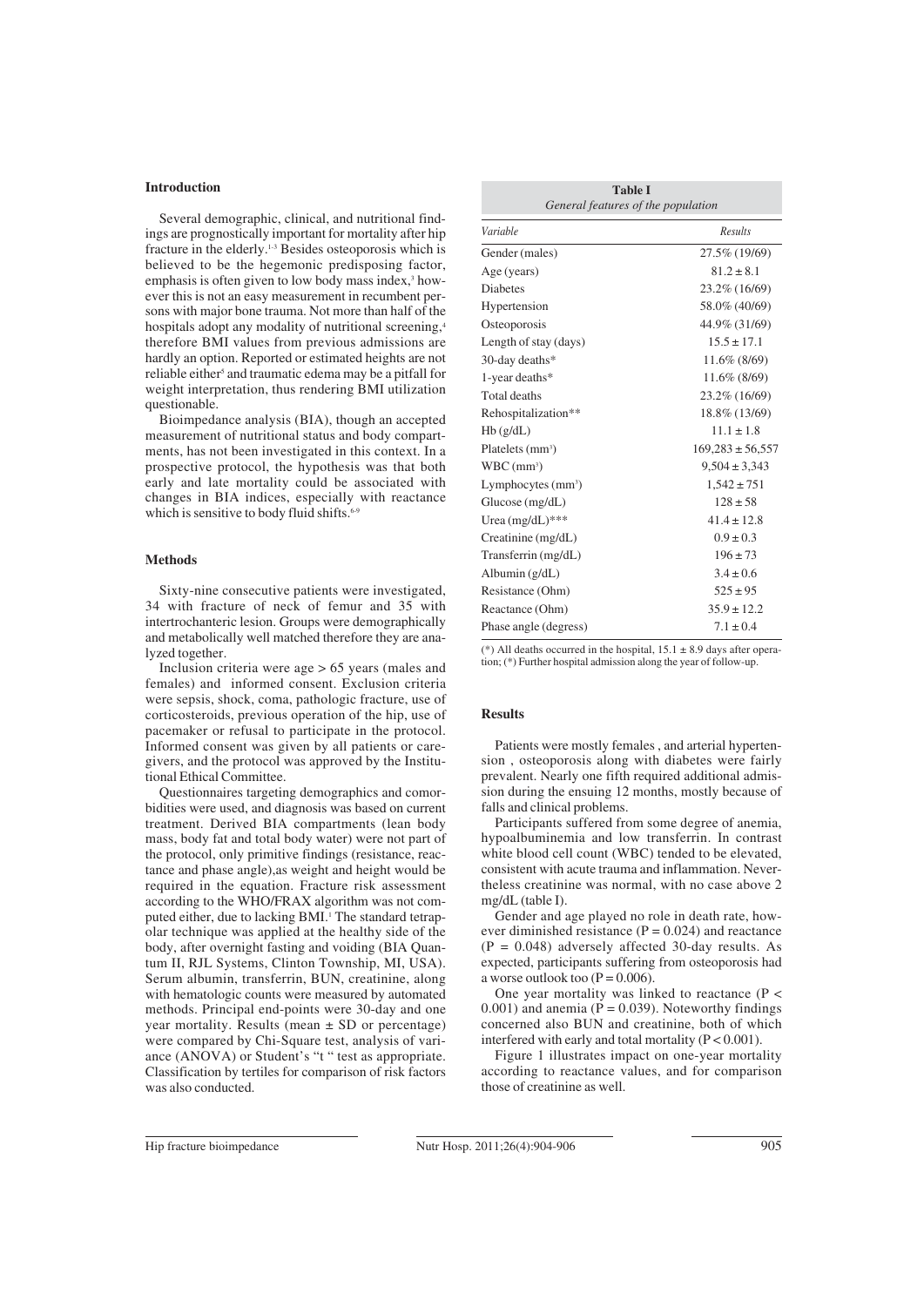#### **Introduction**

Several demographic, clinical, and nutritional findings are prognostically important for mortality after hip fracture in the elderly.1-3 Besides osteoporosis which is believed to be the hegemonic predisposing factor, emphasis is often given to low body mass index,<sup>3</sup> however this is not an easy measurement in recumbent persons with major bone trauma. Not more than half of the hospitals adopt any modality of nutritional screening,<sup>4</sup> therefore BMI values from previous admissions are hardly an option. Reported or estimated heights are not reliable either<sup>5</sup> and traumatic edema may be a pitfall for weight interpretation, thus rendering BMI utilization questionable.

Bioimpedance analysis (BIA), though an accepted measurement of nutritional status and body compartments, has not been investigated in this context. In a prospective protocol, the hypothesis was that both early and late mortality could be associated with changes in BIA indices, especially with reactance which is sensitive to body fluid shifts.<sup>6</sup>

#### **Methods**

Sixty-nine consecutive patients were investigated, 34 with fracture of neck of femur and 35 with intertrochanteric lesion. Groups were demographically and metabolically well matched therefore they are analyzed together.

Inclusion criteria were age > 65 years (males and females) and informed consent. Exclusion criteria were sepsis, shock, coma, pathologic fracture, use of corticosteroids, previous operation of the hip, use of pacemaker or refusal to participate in the protocol. Informed consent was given by all patients or caregivers, and the protocol was approved by the Institutional Ethical Committee.

Questionnaires targeting demographics and comorbidities were used, and diagnosis was based on current treatment. Derived BIA compartments (lean body mass, body fat and total body water) were not part of the protocol, only primitive findings (resistance, reactance and phase angle),as weight and height would be required in the equation. Fracture risk assessment according to the WHO/FRAX algorithm was not computed either, due to lacking BMI.<sup>1</sup> The standard tetrapolar technique was applied at the healthy side of the body, after overnight fasting and voiding (BIA Quantum II, RJL Systems, Clinton Township, MI, USA). Serum albumin, transferrin, BUN, creatinine, along with hematologic counts were measured by automated methods. Principal end-points were 30-day and one year mortality. Results (mean  $\pm$  SD or percentage) were compared by Chi-Square test, analysis of variance (ANOVA) or Student's "t " test as appropriate. Classification by tertiles for comparison of risk factors was also conducted.

| <b>Table I</b><br>General features of the population |                      |
|------------------------------------------------------|----------------------|
| Variable                                             | <b>Results</b>       |
| Gender (males)                                       | 27.5% (19/69)        |
| Age (years)                                          | $81.2 \pm 8.1$       |
| <b>Diabetes</b>                                      | 23.2% (16/69)        |
| Hypertension                                         | 58.0% (40/69)        |
| Osteoporosis                                         | 44.9% (31/69)        |
| Length of stay (days)                                | $15.5 \pm 17.1$      |
| 30-day deaths*                                       | 11.6% (8/69)         |
| 1-year deaths*                                       | 11.6% (8/69)         |
| Total deaths                                         | 23.2% (16/69)        |
| Rehospitalization**                                  | 18.8% (13/69)        |
| Hb(g/dL)                                             | $11.1 \pm 1.8$       |
| Platelets $(mm3)$                                    | $169,283 \pm 56,557$ |
| $WBC$ (mm <sup>3</sup> )                             | $9,504 \pm 3,343$    |
| Lymphocytes $(mm3)$                                  | $1,542 \pm 751$      |
| Glucose (mg/dL)                                      | $128 \pm 58$         |
| Urea $(mg/dL)$ ***                                   | $41.4 \pm 12.8$      |
| Creatinine $(mg/dL)$                                 | $0.9 \pm 0.3$        |
| Transferrin (mg/dL)                                  | $196 \pm 73$         |
| Albumin $(g/dL)$                                     | $3.4 \pm 0.6$        |
| Resistance (Ohm)                                     | $525 \pm 95$         |
| Reactance (Ohm)                                      | $35.9 \pm 12.2$      |
| Phase angle (degress)                                | $7.1 \pm 0.4$        |

(\*) All deaths occurred in the hospital,  $15.1 \pm 8.9$  days after operation; (\*) Further hospital admission along the year of follow-up.

#### **Results**

Patients were mostly females , and arterial hypertension , osteoporosis along with diabetes were fairly prevalent. Nearly one fifth required additional admission during the ensuing 12 months, mostly because of falls and clinical problems.

Participants suffered from some degree of anemia, hypoalbuminemia and low transferrin. In contrast white blood cell count (WBC) tended to be elevated, consistent with acute trauma and inflammation. Nevertheless creatinine was normal, with no case above 2 mg/dL (table I).

Gender and age played no role in death rate, however diminished resistance  $(P = 0.024)$  and reactance  $(P = 0.048)$  adversely affected 30-day results. As expected, participants suffering from osteoporosis had a worse outlook too  $(P = 0.006)$ .

One year mortality was linked to reactance  $(P <$  $0.001$ ) and anemia (P = 0.039). Noteworthy findings concerned also BUN and creatinine, both of which interfered with early and total mortality (P < 0.001).

Figure 1 illustrates impact on one-year mortality according to reactance values, and for comparison those of creatinine as well.